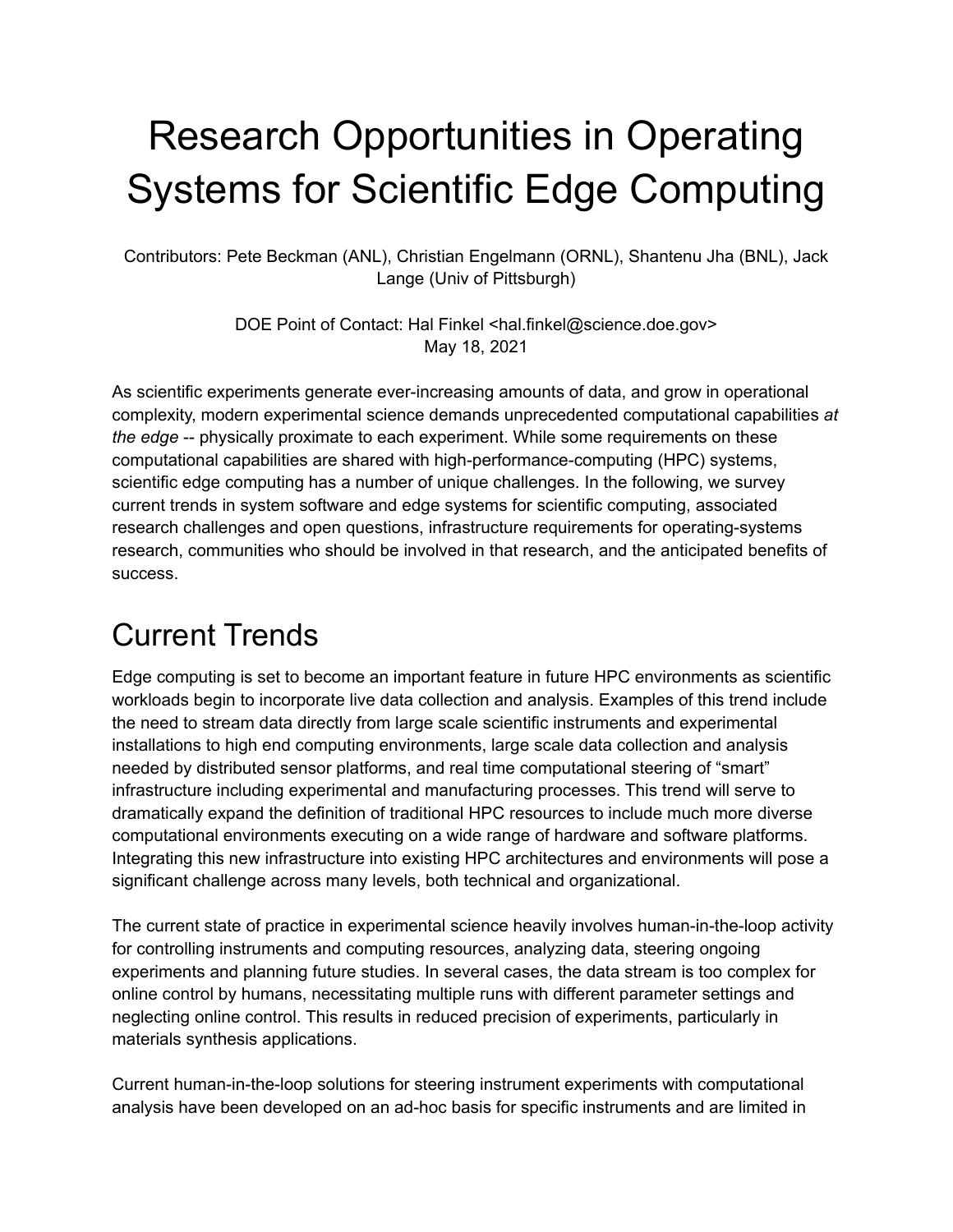# Research Opportunities in Operating Systems for Scientific Edge Computing

Contributors: Pete Beckman (ANL), Christian Engelmann (ORNL), Shantenu Jha (BNL), Jack Lange (Univ of Pittsburgh)

> DOE Point of Contact: Hal Finkel <hal.finkel@science.doe.gov> May 18, 2021

As scientific experiments generate ever-increasing amounts of data, and grow in operational complexity, modern experimental science demands unprecedented computational capabilities *at the edge* -- physically proximate to each experiment. While some requirements on these computational capabilities are shared with high-performance-computing (HPC) systems, scientific edge computing has a number of unique challenges. In the following, we survey current trends in system software and edge systems for scientific computing, associated research challenges and open questions, infrastructure requirements for operating-systems research, communities who should be involved in that research, and the anticipated benefits of success.

#### Current Trends

Edge computing is set to become an important feature in future HPC environments as scientific workloads begin to incorporate live data collection and analysis. Examples of this trend include the need to stream data directly from large scale scientific instruments and experimental installations to high end computing environments, large scale data collection and analysis needed by distributed sensor platforms, and real time computational steering of "smart" infrastructure including experimental and manufacturing processes. This trend will serve to dramatically expand the definition of traditional HPC resources to include much more diverse computational environments executing on a wide range of hardware and software platforms. Integrating this new infrastructure into existing HPC architectures and environments will pose a significant challenge across many levels, both technical and organizational.

The current state of practice in experimental science heavily involves human-in-the-loop activity for controlling instruments and computing resources, analyzing data, steering ongoing experiments and planning future studies. In several cases, the data stream is too complex for online control by humans, necessitating multiple runs with different parameter settings and neglecting online control. This results in reduced precision of experiments, particularly in materials synthesis applications.

Current human-in-the-loop solutions for steering instrument experiments with computational analysis have been developed on an ad-hoc basis for specific instruments and are limited in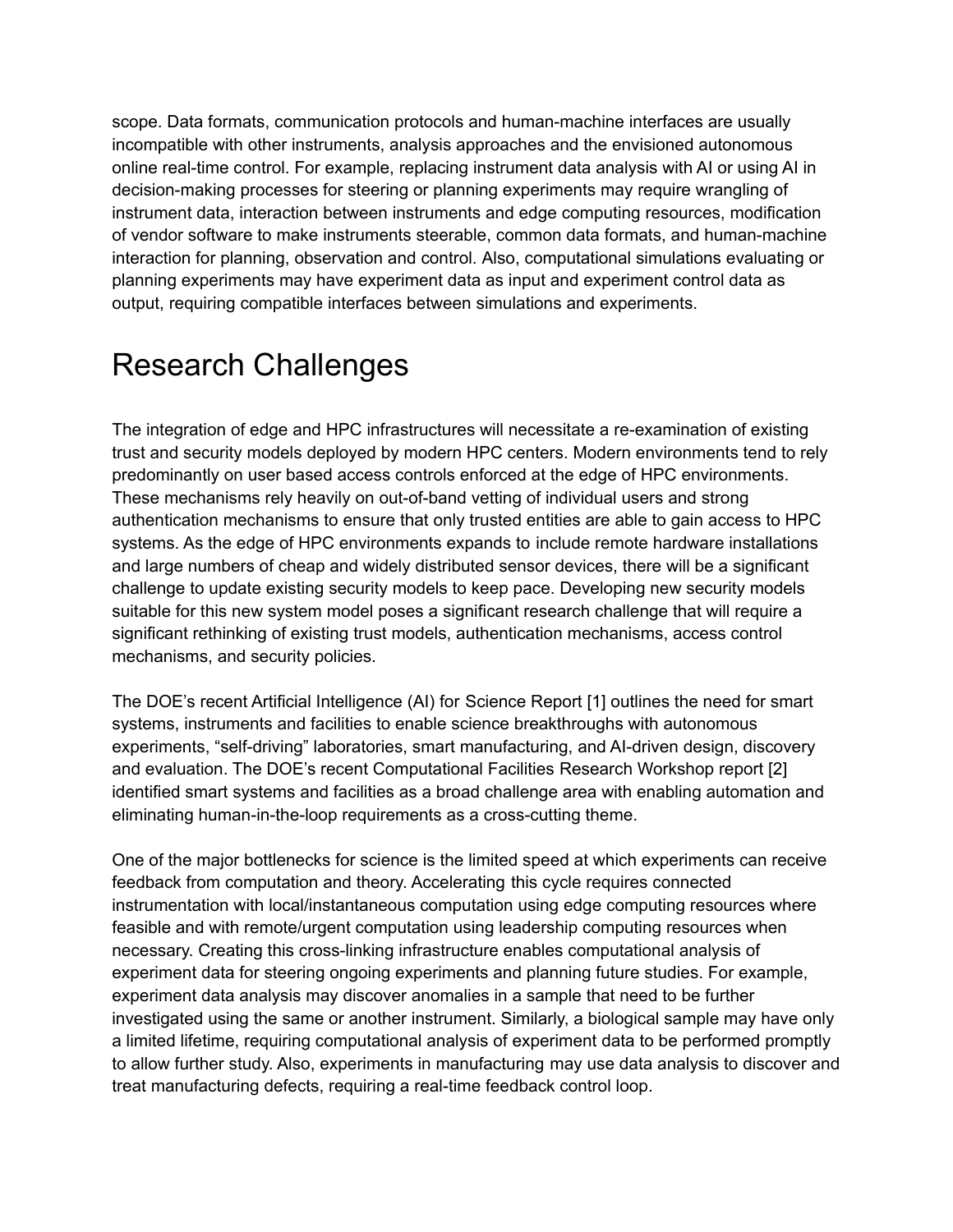scope. Data formats, communication protocols and human-machine interfaces are usually incompatible with other instruments, analysis approaches and the envisioned autonomous online real-time control. For example, replacing instrument data analysis with AI or using AI in decision-making processes for steering or planning experiments may require wrangling of instrument data, interaction between instruments and edge computing resources, modification of vendor software to make instruments steerable, common data formats, and human-machine interaction for planning, observation and control. Also, computational simulations evaluating or planning experiments may have experiment data as input and experiment control data as output, requiring compatible interfaces between simulations and experiments.

#### Research Challenges

The integration of edge and HPC infrastructures will necessitate a re-examination of existing trust and security models deployed by modern HPC centers. Modern environments tend to rely predominantly on user based access controls enforced at the edge of HPC environments. These mechanisms rely heavily on out-of-band vetting of individual users and strong authentication mechanisms to ensure that only trusted entities are able to gain access to HPC systems. As the edge of HPC environments expands to include remote hardware installations and large numbers of cheap and widely distributed sensor devices, there will be a significant challenge to update existing security models to keep pace. Developing new security models suitable for this new system model poses a significant research challenge that will require a significant rethinking of existing trust models, authentication mechanisms, access control mechanisms, and security policies.

The DOE's recent Artificial Intelligence (AI) for Science Report [1] outlines the need for smart systems, instruments and facilities to enable science breakthroughs with autonomous experiments, "self-driving" laboratories, smart manufacturing, and AI-driven design, discovery and evaluation. The DOE's recent Computational Facilities Research Workshop report [2] identified smart systems and facilities as a broad challenge area with enabling automation and eliminating human-in-the-loop requirements as a cross-cutting theme.

One of the major bottlenecks for science is the limited speed at which experiments can receive feedback from computation and theory. Accelerating this cycle requires connected instrumentation with local/instantaneous computation using edge computing resources where feasible and with remote/urgent computation using leadership computing resources when necessary. Creating this cross-linking infrastructure enables computational analysis of experiment data for steering ongoing experiments and planning future studies. For example, experiment data analysis may discover anomalies in a sample that need to be further investigated using the same or another instrument. Similarly, a biological sample may have only a limited lifetime, requiring computational analysis of experiment data to be performed promptly to allow further study. Also, experiments in manufacturing may use data analysis to discover and treat manufacturing defects, requiring a real-time feedback control loop.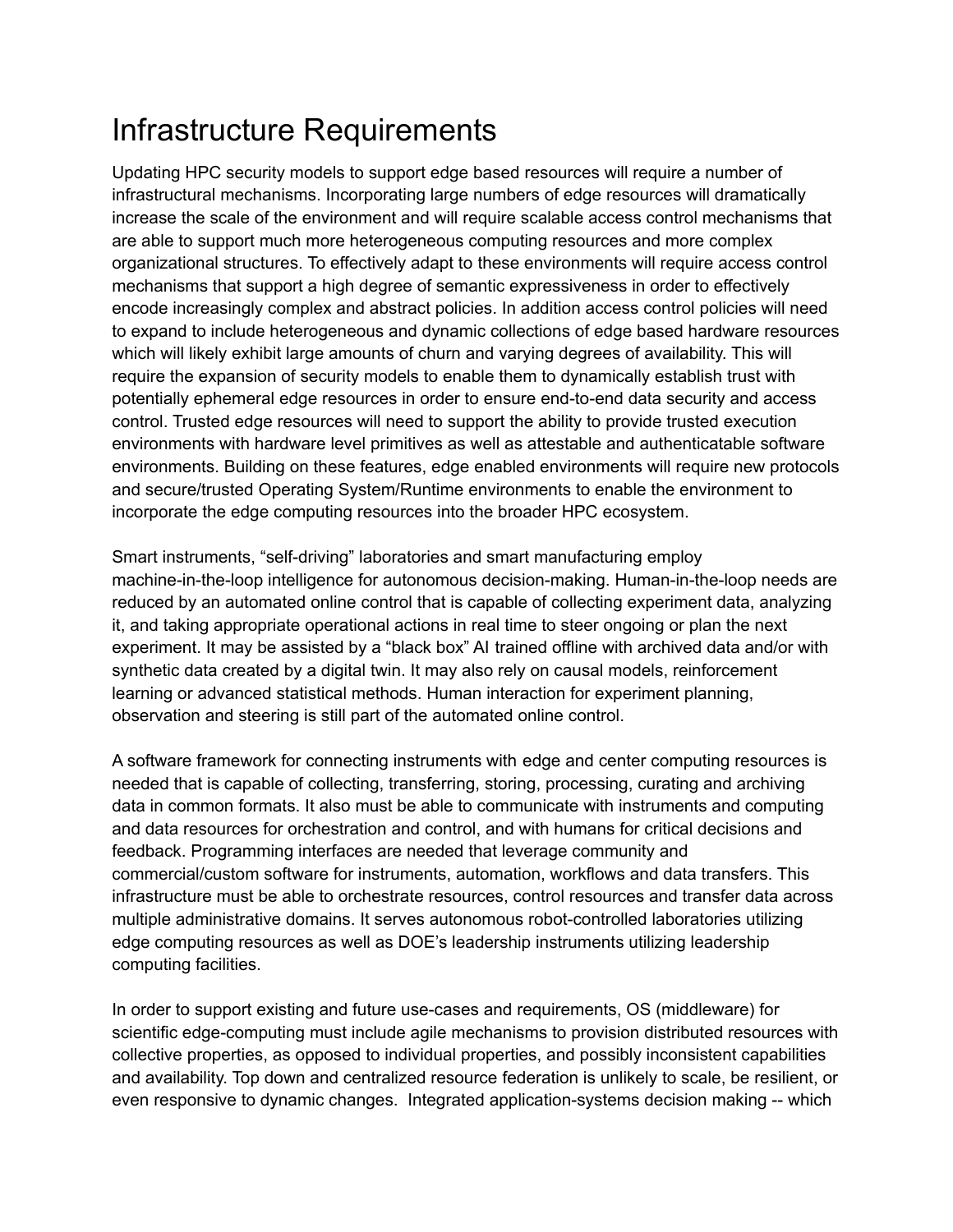### Infrastructure Requirements

Updating HPC security models to support edge based resources will require a number of infrastructural mechanisms. Incorporating large numbers of edge resources will dramatically increase the scale of the environment and will require scalable access control mechanisms that are able to support much more heterogeneous computing resources and more complex organizational structures. To effectively adapt to these environments will require access control mechanisms that support a high degree of semantic expressiveness in order to effectively encode increasingly complex and abstract policies. In addition access control policies will need to expand to include heterogeneous and dynamic collections of edge based hardware resources which will likely exhibit large amounts of churn and varying degrees of availability. This will require the expansion of security models to enable them to dynamically establish trust with potentially ephemeral edge resources in order to ensure end-to-end data security and access control. Trusted edge resources will need to support the ability to provide trusted execution environments with hardware level primitives as well as attestable and authenticatable software environments. Building on these features, edge enabled environments will require new protocols and secure/trusted Operating System/Runtime environments to enable the environment to incorporate the edge computing resources into the broader HPC ecosystem.

Smart instruments, "self-driving" laboratories and smart manufacturing employ machine-in-the-loop intelligence for autonomous decision-making. Human-in-the-loop needs are reduced by an automated online control that is capable of collecting experiment data, analyzing it, and taking appropriate operational actions in real time to steer ongoing or plan the next experiment. It may be assisted by a "black box" AI trained offline with archived data and/or with synthetic data created by a digital twin. It may also rely on causal models, reinforcement learning or advanced statistical methods. Human interaction for experiment planning, observation and steering is still part of the automated online control.

A software framework for connecting instruments with edge and center computing resources is needed that is capable of collecting, transferring, storing, processing, curating and archiving data in common formats. It also must be able to communicate with instruments and computing and data resources for orchestration and control, and with humans for critical decisions and feedback. Programming interfaces are needed that leverage community and commercial/custom software for instruments, automation, workflows and data transfers. This infrastructure must be able to orchestrate resources, control resources and transfer data across multiple administrative domains. It serves autonomous robot-controlled laboratories utilizing edge computing resources as well as DOE's leadership instruments utilizing leadership computing facilities.

In order to support existing and future use-cases and requirements, OS (middleware) for scientific edge-computing must include agile mechanisms to provision distributed resources with collective properties, as opposed to individual properties, and possibly inconsistent capabilities and availability. Top down and centralized resource federation is unlikely to scale, be resilient, or even responsive to dynamic changes. Integrated application-systems decision making -- which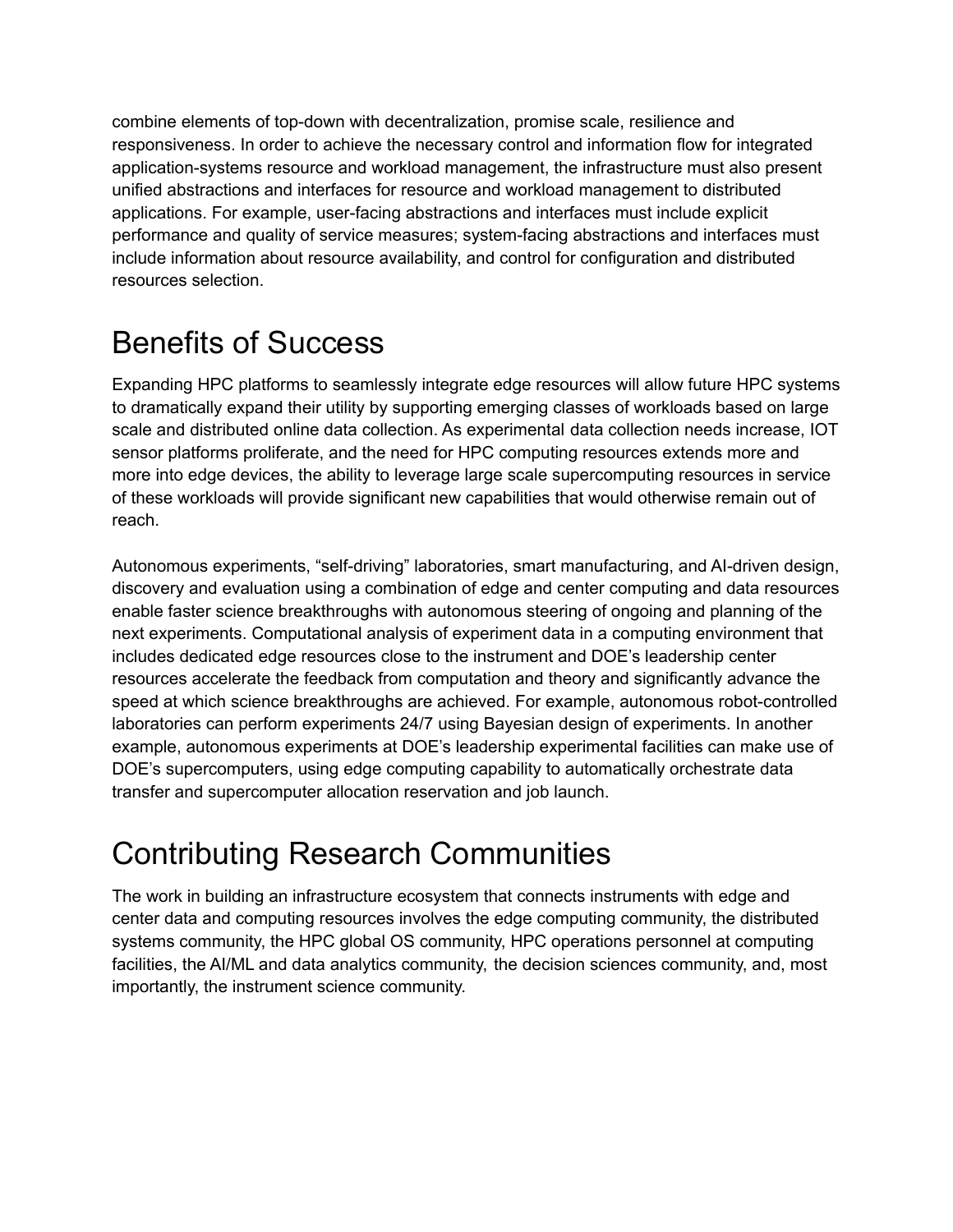combine elements of top-down with decentralization, promise scale, resilience and responsiveness. In order to achieve the necessary control and information flow for integrated application-systems resource and workload management, the infrastructure must also present unified abstractions and interfaces for resource and workload management to distributed applications. For example, user-facing abstractions and interfaces must include explicit performance and quality of service measures; system-facing abstractions and interfaces must include information about resource availability, and control for configuration and distributed resources selection.

#### Benefits of Success

Expanding HPC platforms to seamlessly integrate edge resources will allow future HPC systems to dramatically expand their utility by supporting emerging classes of workloads based on large scale and distributed online data collection. As experimental data collection needs increase, IOT sensor platforms proliferate, and the need for HPC computing resources extends more and more into edge devices, the ability to leverage large scale supercomputing resources in service of these workloads will provide significant new capabilities that would otherwise remain out of reach.

Autonomous experiments, "self-driving" laboratories, smart manufacturing, and AI-driven design, discovery and evaluation using a combination of edge and center computing and data resources enable faster science breakthroughs with autonomous steering of ongoing and planning of the next experiments. Computational analysis of experiment data in a computing environment that includes dedicated edge resources close to the instrument and DOE's leadership center resources accelerate the feedback from computation and theory and significantly advance the speed at which science breakthroughs are achieved. For example, autonomous robot-controlled laboratories can perform experiments 24/7 using Bayesian design of experiments. In another example, autonomous experiments at DOE's leadership experimental facilities can make use of DOE's supercomputers, using edge computing capability to automatically orchestrate data transfer and supercomputer allocation reservation and job launch.

### Contributing Research Communities

The work in building an infrastructure ecosystem that connects instruments with edge and center data and computing resources involves the edge computing community, the distributed systems community, the HPC global OS community, HPC operations personnel at computing facilities, the AI/ML and data analytics community, the decision sciences community, and, most importantly, the instrument science community.